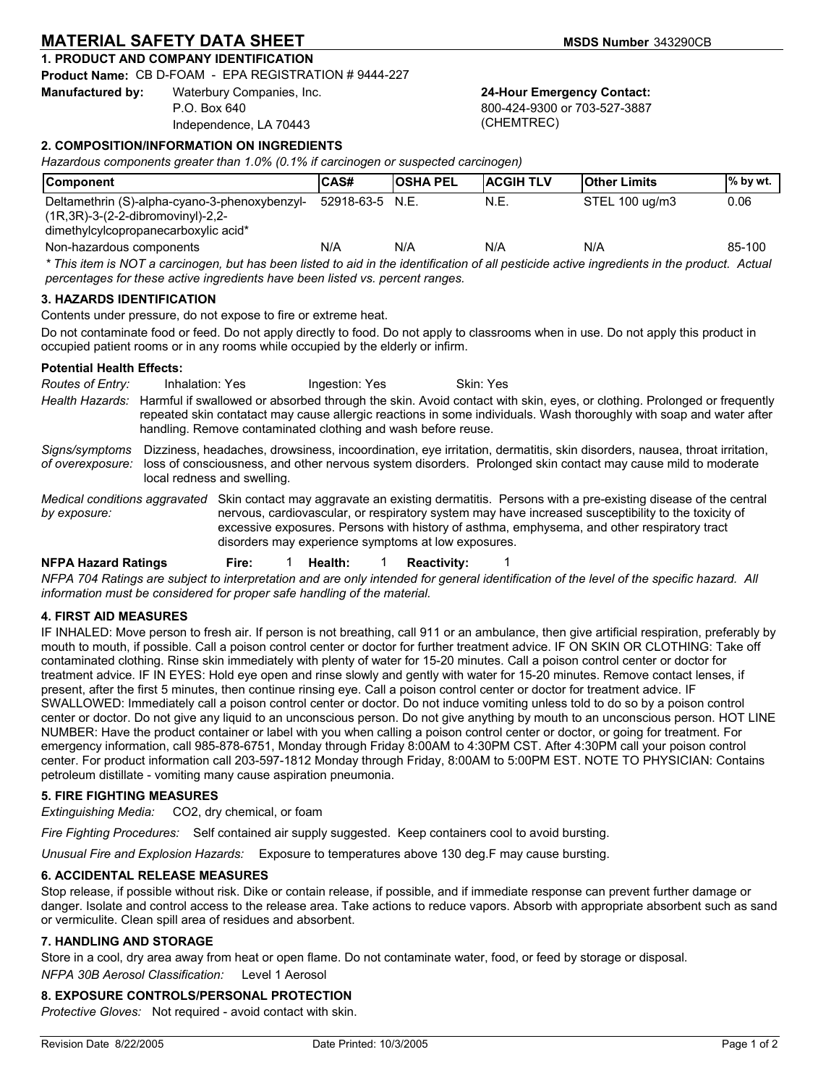# **MATERIAL SAFETY DATA SHEET MATERIAL SAFETY DATA SHEET**

# **1. PRODUCT AND COMPANY IDENTIFICATION**

**Product Name:** CB D-FOAM - EPA REGISTRATION # 9444-227

**Manufactured by:** Waterbury Companies, Inc. P.O. Box 640

Independence, LA 70443

**24-Hour Emergency Contact:**

800-424-9300 or 703-527-3887 (CHEMTREC)

## **2. COMPOSITION/INFORMATION ON INGREDIENTS**

*Hazardous components greater than 1.0% (0.1% if carcinogen or suspected carcinogen)*

| <b>Component</b>                                                                                                                                                                                                              | CAS#              | <b>OSHA PEL</b> | <b>ACGIHTLV</b> | <b>Other Limits</b> | % by wt. |
|-------------------------------------------------------------------------------------------------------------------------------------------------------------------------------------------------------------------------------|-------------------|-----------------|-----------------|---------------------|----------|
| Deltamethrin (S)-alpha-cyano-3-phenoxybenzyl-<br>$(1R.3R) - 3 - (2 - 2 - dibromovinyl) - 2.2 -$<br>dimethylcylcopropanecarboxylic acid*                                                                                       | $52918-63-5$ N.E. |                 | N.E.            | STEL 100 ug/m3      | 0.06     |
| Non-hazardous components                                                                                                                                                                                                      | N/A               | N/A             | N/A             | N/A                 | 85-100   |
| * This item is NOT a carcinogen, but has been listed to aid in the identification of all pesticide active ingredients in the product. Actual<br>percentages for these active ingredients have been listed vs. percent ranges. |                   |                 |                 |                     |          |

### **3. HAZARDS IDENTIFICATION**

Contents under pressure, do not expose to fire or extreme heat.

Do not contaminate food or feed. Do not apply directly to food. Do not apply to classrooms when in use. Do not apply this product in occupied patient rooms or in any rooms while occupied by the elderly or infirm.

### **Potential Health Effects:**

**NFPA Hazard Ratings Fire:** 1 **Health:** 1 **Reactivity:** 1 *Health Hazards:* Harmful if swallowed or absorbed through the skin. Avoid contact with skin, eyes, or clothing. Prolonged or frequently repeated skin contatact may cause allergic reactions in some individuals. Wash thoroughly with soap and water after handling. Remove contaminated clothing and wash before reuse. *Signs/symptoms of overexposure:* Dizziness, headaches, drowsiness, incoordination, eye irritation, dermatitis, skin disorders, nausea, throat irritation, loss of consciousness, and other nervous system disorders. Prolonged skin contact may cause mild to moderate local redness and swelling. Medical conditions aggravated Skin contact may aggravate an existing dermatitis. Persons with a pre-existing disease of the central *by exposure:* nervous, cardiovascular, or respiratory system may have increased susceptibility to the toxicity of excessive exposures. Persons with history of asthma, emphysema, and other respiratory tract disorders may experience symptoms at low exposures. **Routes of Entry:** Inhalation: Yes Ingestion: Yes Skin: Yes

*NFPA 704 Ratings are subject to interpretation and are only intended for general identification of the level of the specific hazard. All information must be considered for proper safe handling of the material.*

## **4. FIRST AID MEASURES**

IF INHALED: Move person to fresh air. If person is not breathing, call 911 or an ambulance, then give artificial respiration, preferably by mouth to mouth, if possible. Call a poison control center or doctor for further treatment advice. IF ON SKIN OR CLOTHING: Take off contaminated clothing. Rinse skin immediately with plenty of water for 15-20 minutes. Call a poison control center or doctor for treatment advice. IF IN EYES: Hold eye open and rinse slowly and gently with water for 15-20 minutes. Remove contact lenses, if present, after the first 5 minutes, then continue rinsing eye. Call a poison control center or doctor for treatment advice. IF SWALLOWED: Immediately call a poison control center or doctor. Do not induce vomiting unless told to do so by a poison control center or doctor. Do not give any liquid to an unconscious person. Do not give anything by mouth to an unconscious person. HOT LINE NUMBER: Have the product container or label with you when calling a poison control center or doctor, or going for treatment. For emergency information, call 985-878-6751, Monday through Friday 8:00AM to 4:30PM CST. After 4:30PM call your poison control center. For product information call 203-597-1812 Monday through Friday, 8:00AM to 5:00PM EST. NOTE TO PHYSICIAN: Contains petroleum distillate - vomiting many cause aspiration pneumonia.

## **5. FIRE FIGHTING MEASURES**

*Extinguishing Media:* CO2, dry chemical, or foam

*Fire Fighting Procedures:* Self contained air supply suggested. Keep containers cool to avoid bursting.

*Unusual Fire and Explosion Hazards:* Exposure to temperatures above 130 deg.F may cause bursting.

### **6. ACCIDENTAL RELEASE MEASURES**

Stop release, if possible without risk. Dike or contain release, if possible, and if immediate response can prevent further damage or danger. Isolate and control access to the release area. Take actions to reduce vapors. Absorb with appropriate absorbent such as sand or vermiculite. Clean spill area of residues and absorbent.

### **7. HANDLING AND STORAGE**

Store in a cool, dry area away from heat or open flame. Do not contaminate water, food, or feed by storage or disposal.

NFPA 30B Aerosol Classification: Level 1 Aerosol

## **8. EXPOSURE CONTROLS/PERSONAL PROTECTION**

*Protective Gloves:* Not required - avoid contact with skin.